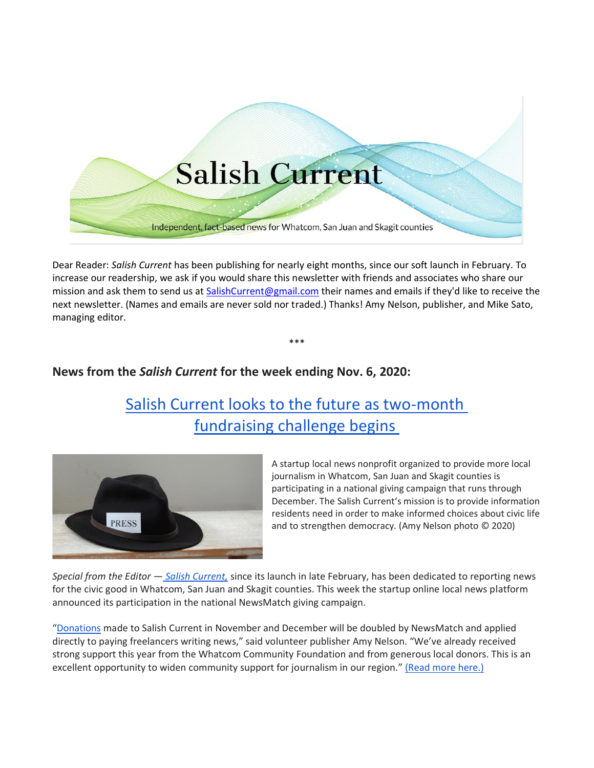

Dear Reader: *Salish Current* has been publishing for nearly eight months, since our soft launch in February. To increase our readership, we ask if you would share this newsletter with friends and associates who share our mission and ask them to send us at [SalishCurrent@gmail.com](mailto:SalishCurrent@gmail.com) their names and emails if they'd like to receive the next newsletter. (Names and emails are never sold nor traded.) Thanks! Amy Nelson, publisher, and Mike Sato, managing editor.

\*\*\*

**News from the** *Salish Current* **for the week ending Nov. 6, 2020:**

# [Salish Current looks to the future as two-month](https://salish-current.org/2020/11/06/salish-current-looks-to-the-future-as-two-month-fundraising-challenge-begins/) [fundraising challenge begins](https://salish-current.org/2020/11/06/salish-current-looks-to-the-future-as-two-month-fundraising-challenge-begins/)



A startup local news nonprofit organized to provide more local journalism in Whatcom, San Juan and Skagit counties is participating in a national giving campaign that runs through December. The Salish Current's mission is to provide information residents need in order to make informed choices about civic life and to strengthen democracy. (Amy Nelson photo © 2020)

*Special from the Editor — [Salish Current,](https://salish-current.org/)* since its launch in late February, has been dedicated to reporting news for the civic good in Whatcom, San Juan and Skagit counties. This week the startup online local news platform announced its participation in the national NewsMatch giving campaign.

"[Donations](https://salish-current.org/donate/) made to Salish Current in November and December will be doubled by NewsMatch and applied directly to paying freelancers writing news," said volunteer publisher Amy Nelson. "We've already received strong support this year from the Whatcom Community Foundation and from generous local donors. This is an excellent opportunity to widen community support for journalism in our region." [\(Read more here.\)](https://salish-current.org/2020/11/06/salish-current-looks-to-the-future-as-two-month-fundraising-challenge-begins/)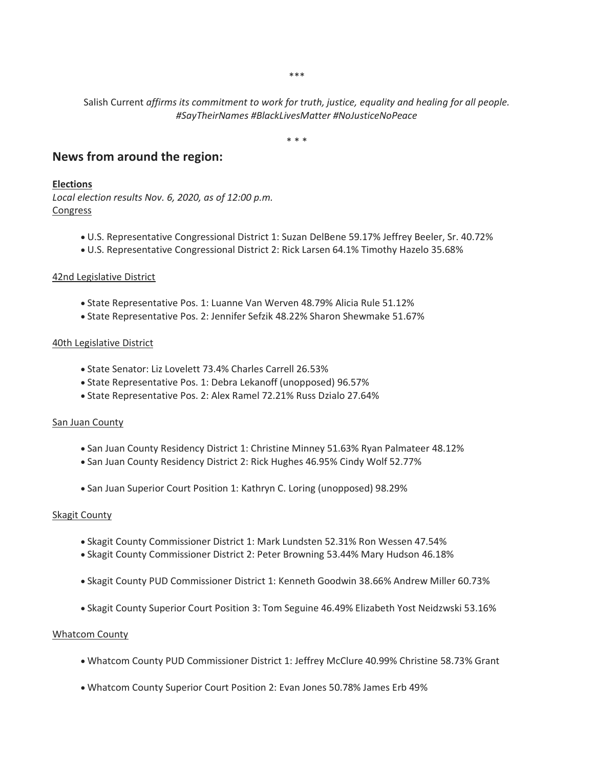\*\*\*

Salish Current *affirms its commitment to work for truth, justice, equality and healing for all people. #SayTheirNames #BlackLivesMatter #NoJusticeNoPeace*

\* \* \*

## **News from around the region:**

#### **Elections**

*Local election results Nov. 6, 2020, as of 12:00 p.m.* Congress

- U.S. Representative Congressional District 1: Suzan DelBene 59.17% Jeffrey Beeler, Sr. 40.72%
- U.S. Representative Congressional District 2: Rick Larsen 64.1% Timothy Hazelo 35.68%

#### 42nd Legislative District

- State Representative Pos. 1: Luanne Van Werven 48.79% Alicia Rule 51.12%
- State Representative Pos. 2: Jennifer Sefzik 48.22% Sharon Shewmake 51.67%

#### 40th Legislative District

- State Senator: Liz Lovelett 73.4% Charles Carrell 26.53%
- State Representative Pos. 1: Debra Lekanoff (unopposed) 96.57%
- State Representative Pos. 2: Alex Ramel 72.21% Russ Dzialo 27.64%

#### San Juan County

- San Juan County Residency District 1: Christine Minney 51.63% Ryan Palmateer 48.12%
- San Juan County Residency District 2: Rick Hughes 46.95% Cindy Wolf 52.77%
- San Juan Superior Court Position 1: Kathryn C. Loring (unopposed) 98.29%

#### Skagit County

- Skagit County Commissioner District 1: Mark Lundsten 52.31% Ron Wessen 47.54%
- Skagit County Commissioner District 2: Peter Browning 53.44% Mary Hudson 46.18%
- Skagit County PUD Commissioner District 1: Kenneth Goodwin 38.66% Andrew Miller 60.73%
- Skagit County Superior Court Position 3: Tom Seguine 46.49% Elizabeth Yost Neidzwski 53.16%

#### Whatcom County

- Whatcom County PUD Commissioner District 1: Jeffrey McClure 40.99% Christine 58.73% Grant
- Whatcom County Superior Court Position 2: Evan Jones 50.78% James Erb 49%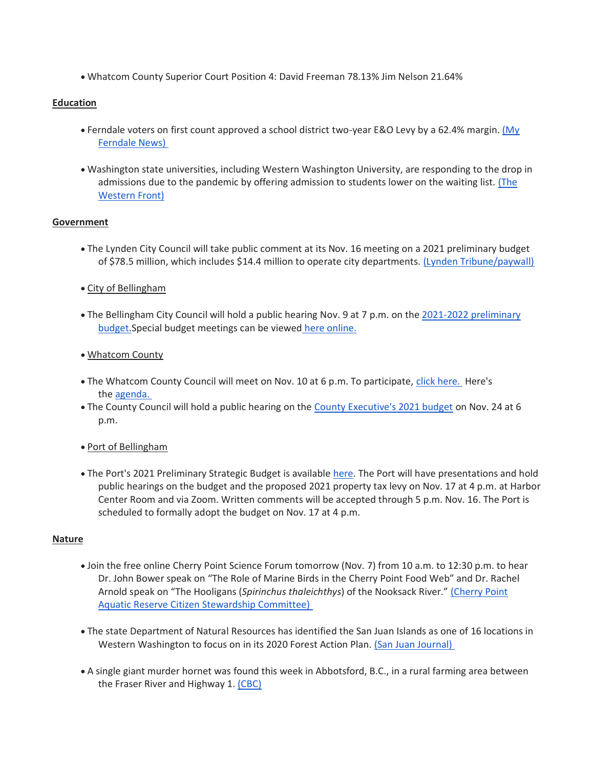• Whatcom County Superior Court Position 4: David Freeman 78.13% Jim Nelson 21.64%

## **Education**

- Ferndale voters on first count approved a school district two-year E&O Levy by a 62.4% margin. [\(My](https://myferndalenews.com/voters-approve-replacement-ferndale-school-district-levy_109223/)  [Ferndale News\)](https://myferndalenews.com/voters-approve-replacement-ferndale-school-district-levy_109223/)
- Washington state universities, including Western Washington University, are responding to the drop in admissions due to the pandemic by offering admission to students lower on the waiting list. [\(The](https://www.westernfrontonline.com/2020/11/02/extending-offers/)  [Western Front\)](https://www.westernfrontonline.com/2020/11/02/extending-offers/)

## **Government**

- The Lynden City Council will take public comment at its Nov. 16 meeting on a 2021 preliminary budget of \$78.5 million, which includes \$14.4 million to operate city departments. [\(Lynden Tribune/paywall\)](https://www.lyndentribune.com/news/mayor-proposes-a-budget-for-2021/article_c6468a08-1333-11eb-a627-e7801f6e91bd.html)
- City of Bellingham
- The Bellingham City Council will hold a public hearing Nov. 9 at 7 p.m. on the 2021-2022 preliminary [budget.S](https://cob.org/wp-content/uploads/2021-22-Preliminary-Budget.pdf)pecial budget meetings can be viewed [here online.](https://meetings.cob.org/)
- Whatcom County
- The Whatcom County Council will meet on Nov. 10 at 6 p.m. To participate, [click here.](http://www.whatcomcounty.us/3415/Participate-in-Virtual-Council-Meetings) Here's the [agenda.](https://whatcom.legistar.com/View.ashx?M=A&ID=735073&GUID=5893C0F9-4EAC-4AB7-A6C6-199B18FBE5E2)
- The County Council will hold a public hearing on the [County Executive's 2021 budget](https://www.whatcomcounty.us/DocumentCenter/View/51302/2021-22-Executives-Recommended-Budget---Volume-1) on Nov. 24 at 6 p.m.
- Port of Bellingham
- The Port's 2021 Preliminary Strategic Budget is available [here.](https://www.portofbellingham.com/18/Finance) The Port will have presentations and hold public hearings on the budget and the proposed 2021 property tax levy on Nov. 17 at 4 p.m. at Harbor Center Room and via Zoom. Written comments will be accepted through 5 p.m. Nov. 16. The Port is scheduled to formally adopt the budget on Nov. 17 at 4 p.m.

## **Nature**

- Join the free online Cherry Point Science Forum tomorrow (Nov. 7) from 10 a.m. to 12:30 p.m. to hear Dr. John Bower speak on "The Role of Marine Birds in the Cherry Point Food Web" and Dr. Rachel Arnold speak on "The Hooligans (*Spirinchus thaleichthys*) of the Nooksack River." [\(Cherry Point](https://www.re-sources.org/2020/10/cpar-science-forum-2020/)  [Aquatic Reserve Citizen Stewardship Committee\)](https://www.re-sources.org/2020/10/cpar-science-forum-2020/)
- The state Department of Natural Resources has identified the San Juan Islands as one of 16 locations in Western Washington to focus on in its 2020 Forest Action Plan. [\(San Juan Journal\)](https://www.sanjuanjournal.com/news/san-juan-county-a-priority-in-states-forest-plan/)
- A single giant murder hornet was found this week in Abbotsford, B.C., in a rural farming area between the Fraser River and Highway 1. [\(CBC\)](https://www.cbc.ca/news/canada/british-columbia/murder-hornet-bc-1.5788477)